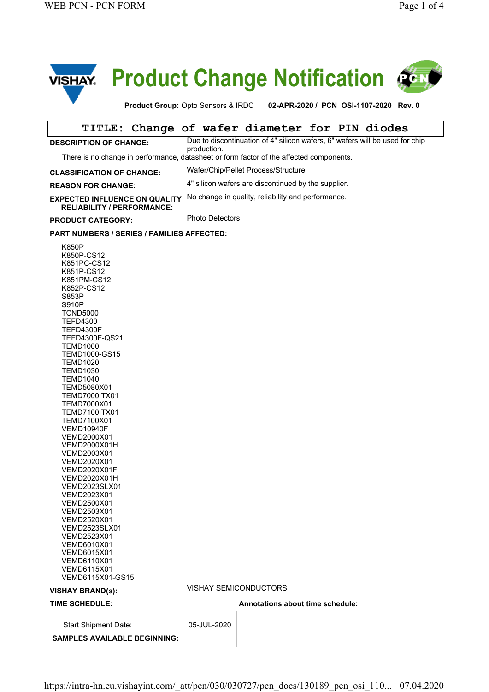

# **Product Change Notification**



**Product Group:** Opto Sensors & IRDC **02-APR-2020 / PCN OSI-1107-2020 Rev. 0** 

|                                                                                                                                                                                                                                                                                                                                                                                                                                                                                                                                                                                                                                                                                                                  |  |  |                                                     | TITLE: Change of wafer diameter for PIN diodes |  |  |                                                                              |  |
|------------------------------------------------------------------------------------------------------------------------------------------------------------------------------------------------------------------------------------------------------------------------------------------------------------------------------------------------------------------------------------------------------------------------------------------------------------------------------------------------------------------------------------------------------------------------------------------------------------------------------------------------------------------------------------------------------------------|--|--|-----------------------------------------------------|------------------------------------------------|--|--|------------------------------------------------------------------------------|--|
| <b>DESCRIPTION OF CHANGE:</b>                                                                                                                                                                                                                                                                                                                                                                                                                                                                                                                                                                                                                                                                                    |  |  | production.                                         |                                                |  |  | Due to discontinuation of 4" silicon wafers, 6" wafers will be used for chip |  |
| There is no change in performance, datasheet or form factor of the affected components.                                                                                                                                                                                                                                                                                                                                                                                                                                                                                                                                                                                                                          |  |  |                                                     |                                                |  |  |                                                                              |  |
| <b>CLASSIFICATION OF CHANGE:</b>                                                                                                                                                                                                                                                                                                                                                                                                                                                                                                                                                                                                                                                                                 |  |  | Wafer/Chip/Pellet Process/Structure                 |                                                |  |  |                                                                              |  |
| <b>REASON FOR CHANGE:</b>                                                                                                                                                                                                                                                                                                                                                                                                                                                                                                                                                                                                                                                                                        |  |  | 4" silicon wafers are discontinued by the supplier. |                                                |  |  |                                                                              |  |
| <b>EXPECTED INFLUENCE ON QUALITY</b><br><b>RELIABILITY / PERFORMANCE:</b>                                                                                                                                                                                                                                                                                                                                                                                                                                                                                                                                                                                                                                        |  |  | No change in quality, reliability and performance.  |                                                |  |  |                                                                              |  |
| <b>PRODUCT CATEGORY:</b>                                                                                                                                                                                                                                                                                                                                                                                                                                                                                                                                                                                                                                                                                         |  |  | <b>Photo Detectors</b>                              |                                                |  |  |                                                                              |  |
| <b>PART NUMBERS / SERIES / FAMILIES AFFECTED:</b>                                                                                                                                                                                                                                                                                                                                                                                                                                                                                                                                                                                                                                                                |  |  |                                                     |                                                |  |  |                                                                              |  |
| K850P<br>K850P-CS12<br>K851PC-CS12<br>K851P-CS12<br>K851PM-CS12<br>K852P-CS12<br>S853P<br>S910P<br><b>TCND5000</b><br><b>TEFD4300</b><br><b>TEFD4300F</b><br>TEFD4300F-QS21<br><b>TEMD1000</b><br><b>TEMD1000-GS15</b><br><b>TEMD1020</b><br><b>TEMD1030</b><br><b>TEMD1040</b><br>TEMD5080X01<br><b>TEMD7000ITX01</b><br>TEMD7000X01<br><b>TEMD7100ITX01</b><br>TEMD7100X01<br><b>VEMD10940F</b><br>VEMD2000X01<br>VEMD2000X01H<br>VEMD2003X01<br>VEMD2020X01<br><b>VEMD2020X01F</b><br><b>VEMD2020X01H</b><br><b>VEMD2023SLX01</b><br>VEMD2023X01<br>VEMD2500X01<br>VEMD2503X01<br>VEMD2520X01<br>VEMD2523SLX01<br>VEMD2523X01<br>VEMD6010X01<br>VEMD6015X01<br>VEMD6110X01<br>VEMD6115X01<br>VEMD6115X01-GS15 |  |  |                                                     |                                                |  |  |                                                                              |  |
| <b>VISHAY BRAND(s):</b>                                                                                                                                                                                                                                                                                                                                                                                                                                                                                                                                                                                                                                                                                          |  |  |                                                     | VISHAY SEMICONDUCTORS                          |  |  |                                                                              |  |
| <b>TIME SCHEDULE:</b>                                                                                                                                                                                                                                                                                                                                                                                                                                                                                                                                                                                                                                                                                            |  |  |                                                     | Annotations about time schedule:               |  |  |                                                                              |  |
| <b>Start Shipment Date:</b>                                                                                                                                                                                                                                                                                                                                                                                                                                                                                                                                                                                                                                                                                      |  |  | 05-JUL-2020                                         |                                                |  |  |                                                                              |  |
| <b>SAMPLES AVAILABLE BEGINNING:</b>                                                                                                                                                                                                                                                                                                                                                                                                                                                                                                                                                                                                                                                                              |  |  |                                                     |                                                |  |  |                                                                              |  |

https://intra-hn.eu.vishayint.com/\_att/pcn/030/030727/pcn\_docs/130189\_pcn\_osi\_110... 07.04.2020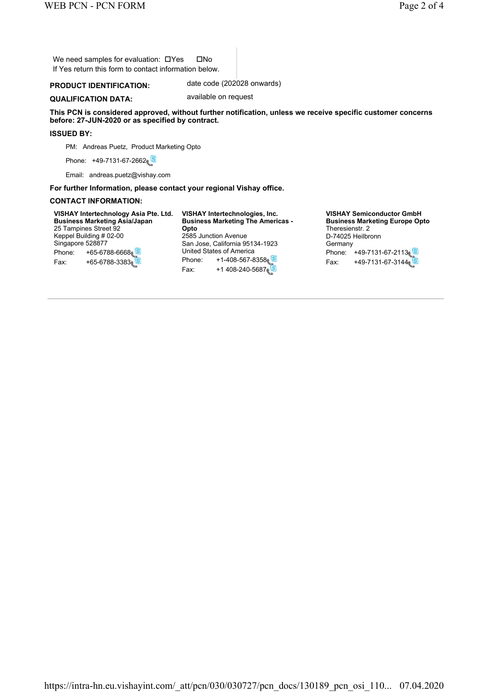We need samples for evaluation:  $\Box$  Yes  $\Box$  No If Yes return this form to contact information below.

### **PRODUCT IDENTIFICATION:** date code (202028 onwards)

**QUALIFICATION DATA:** available on request

**This PCN is considered approved, without further notification, unless we receive specific customer concerns before: 27-JUN-2020 or as specified by contract.**

#### **ISSUED BY:**

PM: Andreas Puetz, Product Marketing Opto

Phone: +49-7131-67-2662

Email: andreas.puetz@vishay.com

**For further Information, please contact your regional Vishay office.**

#### **CONTACT INFORMATION:**

**VISHAY Intertechnology Asia Pte. Ltd. Business Marketing Asia/Japan** 25 Tampines Street 92 Keppel Building # 02-00 Singapore 528877 Phone: +65-6788-6668 Fax: +65-6788-3383

**VISHAY Intertechnologies, Inc. Business Marketing The Americas - Opto** 2585 Junction Avenue San Jose, California 95134-1923 United States of America Phone: +1-408-567-8358 Fax: +1 408-240-5687

**VISHAY Semiconductor GmbH Business Marketing Europe Opto** Theresienstr. 2 D-74025 Heilbronn **Germany** Phone: +49-7131-67-2113 Fax: +49-7131-67-3144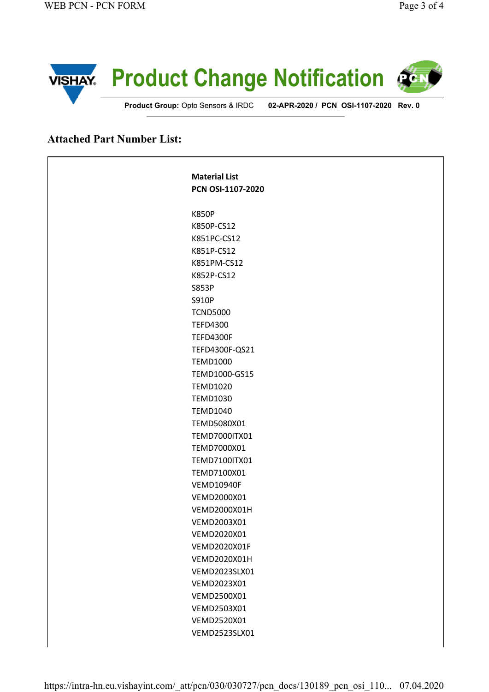

## **Attached Part Number List:**

 $\mathsf{r}$ 

| <b>Material List</b> |  |
|----------------------|--|
| PCN OSI-1107-2020    |  |
| <b>K850P</b>         |  |
| K850P-CS12           |  |
| K851PC-CS12          |  |
| K851P-CS12           |  |
| K851PM-CS12          |  |
| K852P-CS12           |  |
| <b>S853P</b>         |  |
| S910P                |  |
| <b>TCND5000</b>      |  |
| <b>TEFD4300</b>      |  |
| <b>TEFD4300F</b>     |  |
| TEFD4300F-QS21       |  |
| <b>TEMD1000</b>      |  |
| TEMD1000-GS15        |  |
| <b>TEMD1020</b>      |  |
| <b>TEMD1030</b>      |  |
| <b>TEMD1040</b>      |  |
| TEMD5080X01          |  |
| <b>TEMD7000ITX01</b> |  |
| TEMD7000X01          |  |
| TEMD7100ITX01        |  |
| TEMD7100X01          |  |
| <b>VEMD10940F</b>    |  |
| VEMD2000X01          |  |
| VEMD2000X01H         |  |
| VEMD2003X01          |  |
| VEMD2020X01          |  |
| VEMD2020X01F         |  |
| VEMD2020X01H         |  |
| VEMD2023SLX01        |  |
| VEMD2023X01          |  |
| VEMD2500X01          |  |
| VEMD2503X01          |  |
| VEMD2520X01          |  |
| VEMD2523SLX01        |  |
|                      |  |